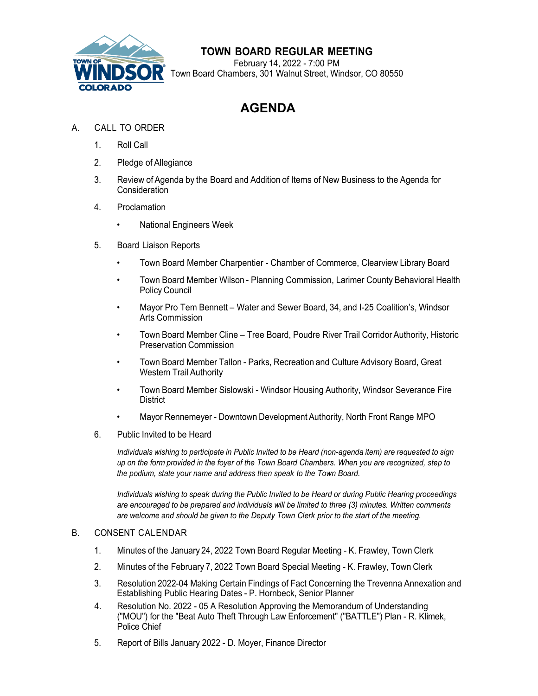

## **TOWN BOARD REGULAR MEETING**

February 14, 2022 - 7:00 PM SOR Town Board Chambers, 301 Walnut Street, Windsor, CO 80550

# **AGENDA**

### A. CALL TO ORDER

- 1. Roll Call
- 2. Pledge of Allegiance
- 3. Review of Agenda by the Board and Addition of Items of New Business to the Agenda for **Consideration**

#### 4. Proclamation

- National Engineers Week
- 5. Board Liaison Reports
	- Town Board Member Charpentier Chamber of Commerce, Clearview Library Board
	- Town Board Member Wilson Planning Commission, Larimer County Behavioral Health Policy Council
	- Mayor Pro Tem Bennett Water and Sewer Board, 34, and I-25 Coalition's, Windsor Arts Commission
	- Town Board Member Cline Tree Board, Poudre River Trail Corridor Authority, Historic Preservation Commission
	- Town Board Member Tallon Parks, Recreation and Culture Advisory Board, Great Western Trail Authority
	- Town Board Member Sislowski Windsor Housing Authority, Windsor Severance Fire **District**
	- Mayor Rennemeyer Downtown Development Authority, North Front Range MPO
- 6. Public Invited to be Heard

*Individuals wishing to participate in Public Invited to be Heard (non-agenda item) are requested to sign up on the form provided in the foyer of the Town Board Chambers. When you are recognized, step to the podium, state your name and address then speak to the Town Board.*

*Individuals wishing to speak during the Public Invited to be Heard or during Public Hearing proceedings are encouraged to be prepared and individuals will be limited to three (3) minutes. Written comments are welcome and should be given to the Deputy Town Clerk prior to the start of the meeting.*

#### B. CONSENT CALENDAR

- 1. Minutes of the January 24, 2022 Town Board Regular Meeting K. Frawley, Town Clerk
- 2. Minutes of the February 7, 2022 Town Board Special Meeting K. Frawley, Town Clerk
- 3. Resolution 2022-04 Making Certain Findings of Fact Concerning the Trevenna Annexation and Establishing Public Hearing Dates - P. Hornbeck, Senior Planner
- 4. Resolution No. 2022 05 A Resolution Approving the Memorandum of Understanding ("MOU") for the "Beat Auto Theft Through Law Enforcement" ("BATTLE") Plan - R. Klimek, Police Chief
- 5. Report of Bills January 2022 D. Moyer, Finance Director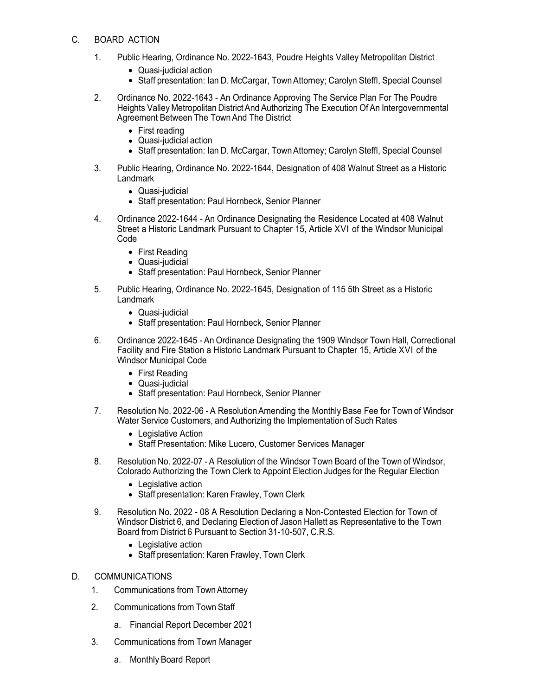#### C. BOARD ACTION

- 1. Public Hearing, Ordinance No. 2022-1643, Poudre Heights Valley Metropolitan District
	- Quasi-judicial action
	- Staff presentation: Ian D. McCargar, Town Attorney; Carolyn Steffl, Special Counsel
- 2. Ordinance No. 2022-1643 An Ordinance Approving The Service Plan For The Poudre Heights Valley Metropolitan District And Authorizing The Execution Of An Intergovernmental Agreement Between The TownAnd The District
	- First reading
	- Quasi-judicial action
	- Staff presentation: Ian D. McCargar, Town Attorney; Carolyn Steffl, Special Counsel
- 3. Public Hearing, Ordinance No. 2022-1644, Designation of 408 Walnut Street as a Historic Landmark
	- Quasi-judicial
	- Staff presentation: Paul Hornbeck, Senior Planner
- 4. Ordinance 2022-1644 An Ordinance Designating the Residence Located at 408 Walnut Street a Historic Landmark Pursuant to Chapter 15, Article XVI of the Windsor Municipal Code
	- First Reading
	- Quasi-judicial
	- Staff presentation: Paul Hornbeck, Senior Planner
- 5. Public Hearing, Ordinance No. 2022-1645, Designation of 115 5th Street as a Historic Landmark
	- Quasi-judicial
	- Staff presentation: Paul Hornbeck, Senior Planner
- 6. Ordinance 2022-1645 An Ordinance Designating the 1909 Windsor Town Hall, Correctional Facility and Fire Station a Historic Landmark Pursuant to Chapter 15, Article XVI of the Windsor Municipal Code
	- First Reading
	- Quasi-judicial
	- Staff presentation: Paul Hornbeck, Senior Planner
- 7. Resolution No. 2022-06 A ResolutionAmending the Monthly Base Fee for Town of Windsor Water Service Customers, and Authorizing the Implementation of Such Rates
	- Legislative Action
	- Staff Presentation: Mike Lucero, Customer Services Manager
- 8. Resolution No. 2022-07 A Resolution of the Windsor Town Board of the Town of Windsor, Colorado Authorizing the Town Clerk to Appoint Election Judges for the Regular Election
	- Legislative action
	- Staff presentation: Karen Frawley, Town Clerk
- 9. Resolution No. 2022 08 A Resolution Declaring a Non-Contested Election for Town of Windsor District 6, and Declaring Election of Jason Hallett as Representative to the Town Board from District 6 Pursuant to Section 31-10-507, C.R.S.
	- Legislative action
	- Staff presentation: Karen Frawley, Town Clerk
- D. COMMUNICATIONS
	- 1. Communications from TownAttorney
	- 2. Communications from Town Staff
		- a. Financial Report December 2021
	- 3. Communications from Town Manager
		- a. Monthly Board Report